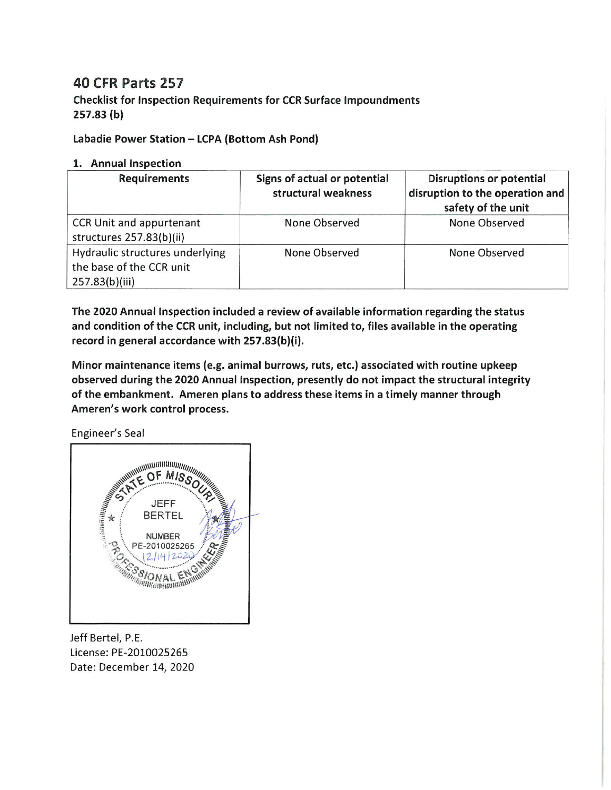## **40 CFR Parts 257**

**Checklist for Inspection Requirements for CCR Surface Impoundments**  $257.83(b)$ 

Labadie Power Station - LCPA (Bottom Ash Pond)

## 1. Annual Inspection

| <b>Requirements</b>                                                           | Signs of actual or potential<br>structural weakness | <b>Disruptions or potential</b><br>disruption to the operation and<br>safety of the unit |
|-------------------------------------------------------------------------------|-----------------------------------------------------|------------------------------------------------------------------------------------------|
| CCR Unit and appurtenant<br>structures 257.83(b)(ii)                          | None Observed                                       | None Observed                                                                            |
| Hydraulic structures underlying<br>the base of the CCR unit<br>257.83(b)(iii) | None Observed                                       | None Observed                                                                            |

The 2020 Annual Inspection included a review of available information regarding the status and condition of the CCR unit, including, but not limited to, files available in the operating record in general accordance with 257.83(b)(i).

Minor maintenance items (e.g. animal burrows, ruts, etc.) associated with routine upkeep observed during the 2020 Annual Inspection, presently do not impact the structural integrity of the embankment. Ameren plans to address these items in a timely manner through Ameren's work control process.

Engineer's Seal



Jeff Bertel, P.E. License: PE-2010025265 Date: December 14, 2020